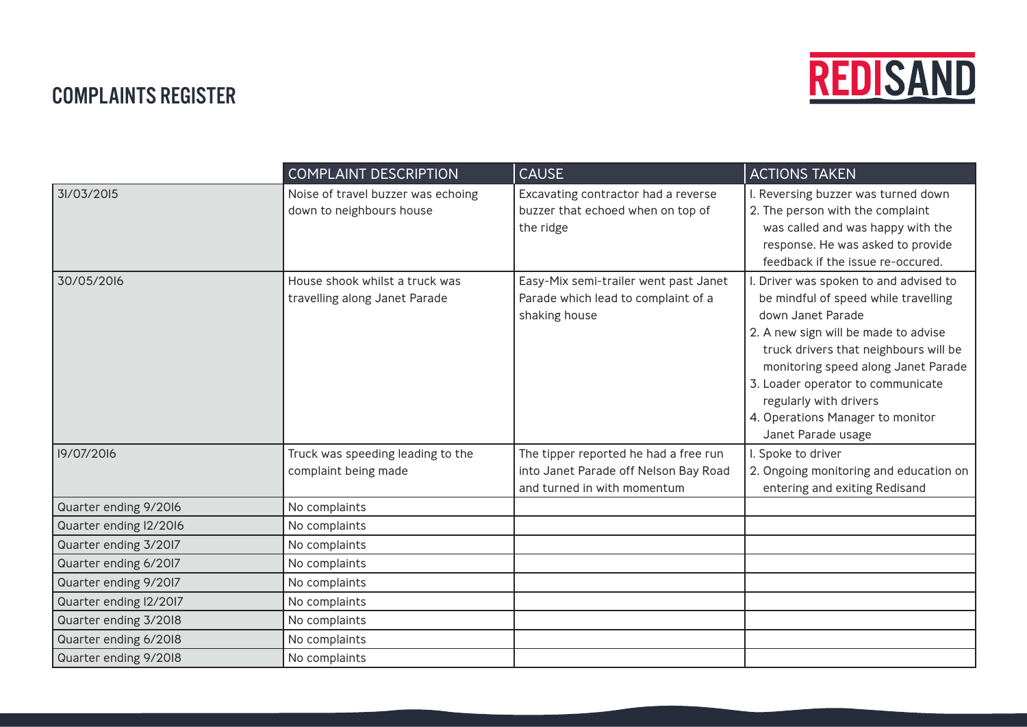

## COMPLAINTS REGISTER

|                        | <b>COMPLAINT DESCRIPTION</b>       | <b>CAUSE</b>                                                         | <b>ACTIONS TAKEN</b>                   |
|------------------------|------------------------------------|----------------------------------------------------------------------|----------------------------------------|
| 31/03/2015             | Noise of travel buzzer was echoing | Excavating contractor had a reverse                                  | I. Reversing buzzer was turned down    |
|                        | down to neighbours house           | buzzer that echoed when on top of                                    | 2. The person with the complaint       |
|                        |                                    | the ridge                                                            | was called and was happy with the      |
|                        |                                    |                                                                      | response. He was asked to provide      |
|                        |                                    |                                                                      | feedback if the issue re-occured.      |
| 30/05/2016             | House shook whilst a truck was     | Easy-Mix semi-trailer went past Janet                                | . Driver was spoken to and advised to  |
|                        | travelling along Janet Parade      | Parade which lead to complaint of a                                  | be mindful of speed while travelling   |
|                        |                                    | shaking house                                                        | down Janet Parade                      |
|                        |                                    |                                                                      | 2. A new sign will be made to advise   |
|                        |                                    |                                                                      | truck drivers that neighbours will be  |
|                        |                                    |                                                                      | monitoring speed along Janet Parade    |
|                        |                                    |                                                                      | 3. Loader operator to communicate      |
|                        |                                    |                                                                      | regularly with drivers                 |
|                        |                                    |                                                                      | 4. Operations Manager to monitor       |
|                        |                                    |                                                                      | Janet Parade usage                     |
| 19/07/2016             | Truck was speeding leading to the  | The tipper reported he had a free run                                | I. Spoke to driver                     |
|                        | complaint being made               | into Janet Parade off Nelson Bay Road<br>and turned in with momentum | 2. Ongoing monitoring and education on |
|                        |                                    |                                                                      | entering and exiting Redisand          |
| Quarter ending 9/2016  | No complaints                      |                                                                      |                                        |
| Quarter ending I2/2016 | No complaints                      |                                                                      |                                        |
| Quarter ending 3/2017  | No complaints                      |                                                                      |                                        |
| Quarter ending 6/2017  | No complaints                      |                                                                      |                                        |
| Quarter ending 9/2017  | No complaints                      |                                                                      |                                        |
| Quarter ending I2/20I7 | No complaints                      |                                                                      |                                        |
| Quarter ending 3/2018  | No complaints                      |                                                                      |                                        |
| Quarter ending 6/2018  | No complaints                      |                                                                      |                                        |
| Quarter ending 9/2018  | No complaints                      |                                                                      |                                        |